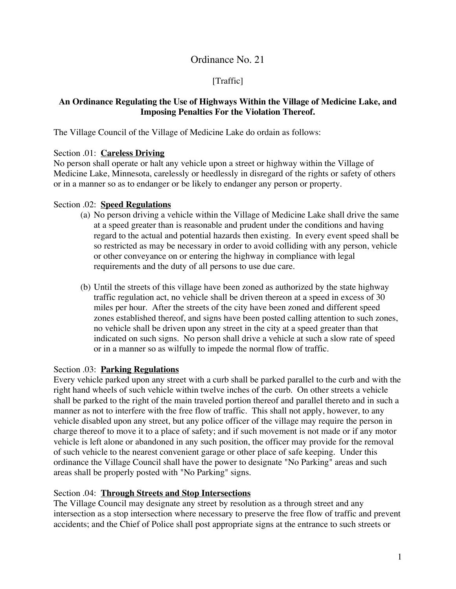# Ordinance No. 21

# [Traffic]

# **An Ordinance Regulating the Use of Highways Within the Village of Medicine Lake, and Imposing Penalties For the Violation Thereof.**

The Village Council of the Village of Medicine Lake do ordain as follows:

## Section .01: **Careless Driving**

No person shall operate or halt any vehicle upon a street or highway within the Village of Medicine Lake, Minnesota, carelessly or heedlessly in disregard of the rights or safety of others or in a manner so as to endanger or be likely to endanger any person or property.

## Section .02: **Speed Regulations**

- (a) No person driving a vehicle within the Village of Medicine Lake shall drive the same at a speed greater than is reasonable and prudent under the conditions and having regard to the actual and potential hazards then existing. In every event speed shall be so restricted as may be necessary in order to avoid colliding with any person, vehicle or other conveyance on or entering the highway in compliance with legal requirements and the duty of all persons to use due care.
- (b) Until the streets of this village have been zoned as authorized by the state highway traffic regulation act, no vehicle shall be driven thereon at a speed in excess of 30 miles per hour. After the streets of the city have been zoned and different speed zones established thereof, and signs have been posted calling attention to such zones, no vehicle shall be driven upon any street in the city at a speed greater than that indicated on such signs. No person shall drive a vehicle at such a slow rate of speed or in a manner so as wilfully to impede the normal flow of traffic.

#### Section .03: **Parking Regulations**

Every vehicle parked upon any street with a curb shall be parked parallel to the curb and with the right hand wheels of such vehicle within twelve inches of the curb. On other streets a vehicle shall be parked to the right of the main traveled portion thereof and parallel thereto and in such a manner as not to interfere with the free flow of traffic. This shall not apply, however, to any vehicle disabled upon any street, but any police officer of the village may require the person in charge thereof to move it to a place of safety; and if such movement is not made or if any motor vehicle is left alone or abandoned in any such position, the officer may provide for the removal of such vehicle to the nearest convenient garage or other place of safe keeping. Under this ordinance the Village Council shall have the power to designate "No Parking" areas and such areas shall be properly posted with "No Parking" signs.

#### Section .04: **Through Streets and Stop Intersections**

The Village Council may designate any street by resolution as a through street and any intersection as a stop intersection where necessary to preserve the free flow of traffic and prevent accidents; and the Chief of Police shall post appropriate signs at the entrance to such streets or